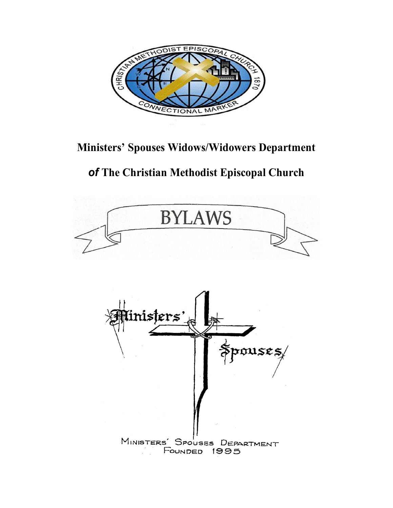

## **Ministers' Spouses Widows/Widowers Department**

# *of* **The Christian Methodist Episcopal Church**

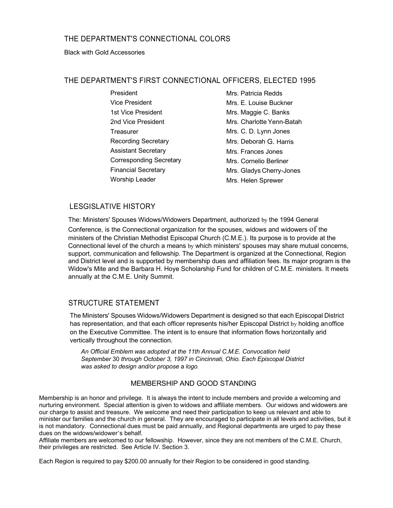## THE DEPARTMENT'S CONNECTIONAL COLORS

#### Black with Gold Accessories

## THE DEPARTMENT'S FIRST CONNECTIONAL OFFICERS, ELECTED 1995

President Vice President 1st Vice President 2nd Vice President **Treasurer** Recording Secretary Assistant Secretary Corresponding Secretary Financial Secretary Worship Leader Mrs. Patricia Redds Mrs. E. Louise Buckner Mrs. Maggie C. Banks Mrs. Charlotte Yenn-Batah Mrs. C. D. Lynn Jones Mrs. Deborah G. Harris Mrs. Frances Jones Mrs. Cornelio Berliner Mrs. Gladys Cherry-Jones Mrs. Helen Sprewer

## LESGISLATIVE HISTORY

The: Ministers' Spouses Widows/Widowers Department, authorized by the 1994 General Conference, is the Connectional organization for the spouses, widows and widowers of the ministers of the Christian Methodist Episcopal Church (C.M.E.). Its purpose is to provide at the Connectional level of the church a means by which ministers' spouses may share mutual concerns, support, communication and fellowship. The Department is organized at the Connectional, Region and District level and is supported by membership dues and affiliation fees. Its major program is the Widow's Mite and the Barbara H. Hoye Scholarship Fund for children of C.M.E. ministers. It meets annually at the C.M.E. Unity Summit.

## STRUCTURE STATEMENT

The Ministers' Spouses Widows/Widowers Department is designed so that each Episcopal District has representation, and that each officer represents his/her Episcopal District by holding anoffice on the Executive Committee. The intent is to ensure that information flows horizontally arid vertically throughout the connection.

*An Official Emblem was adopted at the 11th Annual C.M.E. Convocation held September* 30 *through October 3, 1997 in Cincinnati, Ohio. Each Episcopal District was asked to design and/or propose* a *logo.*

## MEMBERSHIP AND GOOD STANDING

Membership is an honor and privilege. It is always the intent to include members and provide a welcoming and nurturing environment. Special attention is given to widows and affiliate members. Our widows and widowers are our charge to assist and treasure. We welcome and need their participation to keep us relevant and able to minister our families and the church in general. They are encouraged to participate in all levels and activities, but it is not mandatory. Connectional dues must be paid annually, and Regional departments are urged to pay these dues on the widows/widower's behalf.

Affiliate members are welcomed to our fellowship. However, since they are not members of the C.M.E. Church, their privileges are restricted. See Article IV. Section 3.

Each Region is required to pay \$200.00 annually for their Region to be considered in good standing.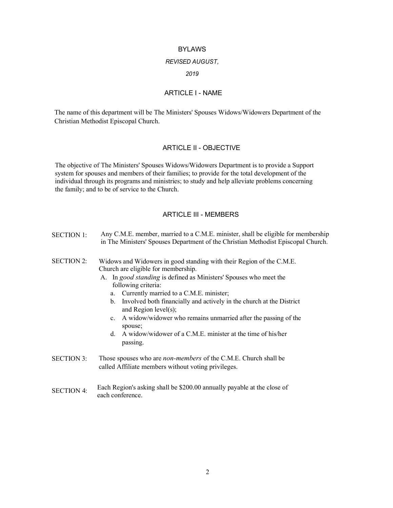#### BYLAWS

#### *REVISED AUGUST,*

*2019*

## ARTICLE I - NAME

The name of this department will be The Ministers' Spouses Widows/Widowers Department of the Christian Methodist Episcopal Church.

#### ARTICLE II - OBJECTIVE

The objective of The Ministers' Spouses Widows/Widowers Department is to provide a Support system for spouses and members of their families; to provide for the total development of the individual through its programs and ministries; to study and help alleviate problems concerning the family; and to be of service to the Church.

### ARTICLE III - MEMBERS

| <b>SECTION 1:</b> | Any C.M.E. member, married to a C.M.E. minister, shall be eligible for membership<br>in The Ministers' Spouses Department of the Christian Methodist Episcopal Church.                                                                                                                                                                                                                                                                                                                                                                                  |
|-------------------|---------------------------------------------------------------------------------------------------------------------------------------------------------------------------------------------------------------------------------------------------------------------------------------------------------------------------------------------------------------------------------------------------------------------------------------------------------------------------------------------------------------------------------------------------------|
| <b>SECTION 2:</b> | Widows and Widowers in good standing with their Region of the C.M.E.<br>Church are eligible for membership.<br>A. In good standing is defined as Ministers' Spouses who meet the<br>following criteria:<br>Currently married to a C.M.E. minister;<br>a.<br>Involved both financially and actively in the church at the District<br>b.<br>and Region $level(s)$ ;<br>A widow/widower who remains unmarried after the passing of the<br>$c_{\cdot}$<br>spouse;<br>A widow/widower of a C.M.E. minister at the time of his/her<br>$d_{\cdot}$<br>passing. |
| <b>SECTION 3:</b> | Those spouses who are <i>non-members</i> of the C.M.E. Church shall be<br>called Affiliate members without voting privileges.                                                                                                                                                                                                                                                                                                                                                                                                                           |

SECTION 4: Each Region's asking shall be \$200.00 annually payable at the close of each conference.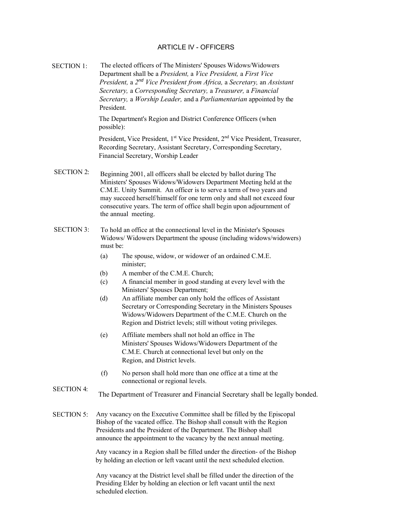## ARTICLE IV - OFFICERS

SECTION 1: SECTION 2: SECTION 3: The elected officers of The Ministers' Spouses Widows/Widowers Department shall be a *President,* a *Vice President,* a *First Vice President,* a *2 nd Vice President from Africa,* a *Secretary,* an *Assistant Secretary,* a *Corresponding Secretary,* a *Treasurer,* a *Financial Secretary,* a *Worship Leader,* and a *Parliamentarian* appointed by the President. The Department's Region and District Conference Officers (when possible): President, Vice President, 1<sup>st</sup> Vice President, 2<sup>nd</sup> Vice President, Treasurer, Recording Secretary, Assistant Secretary, Corresponding Secretary, Financial Secretary, Worship Leader Beginning 2001, all officers shall be elected by ballot during The Ministers' Spouses Widows/Widowers Department Meeting held at the C.M.E. Unity Summit. An officer is to serve a term of two years and may succeed herself/himself for one term only and shall not exceed four consecutive years. The term of office shall begin upon adjournment of the annual meeting. To hold an office at the connectional level in the Minister's Spouses Widows/ Widowers Department the spouse (including widows/widowers) must be: (a) The spouse, widow, or widower of an ordained C.M.E. minister; (b) A member of the C.M.E. Church; (c) A financial member in good standing at every level with the Ministers' Spouses Department; (d) An affiliate member can only hold the offices of Assistant Secretary or Corresponding Secretary in the Ministers Spouses Widows/Widowers Department of the C.M.E. Church on the Region and District levels; still without voting privileges. (e) Affiliate members shall not hold an office in The Ministers' Spouses Widows/Widowers Department of the C.M.E. Church at connectional level but only on the Region, and District levels. (f) No person shall hold more than one office at a time at the connectional or regional levels. SECTION 4: SECTION 5: The Department of Treasurer and Financial Secretary shall be legally bonded. Any vacancy on the Executive Committee shall be filled by the Episcopal Bishop of the vacated office. The Bishop shall consult with the Region Presidents and the President of the Department. The Bishop shall announce the appointment to the vacancy by the next annual meeting. Any vacancy in a Region shall be filled under the direction- of the Bishop by holding an election or left vacant until the next scheduled election.

> Any vacancy at the District level shall be filled under the direction of the Presiding Elder by holding an election or left vacant until the next scheduled election.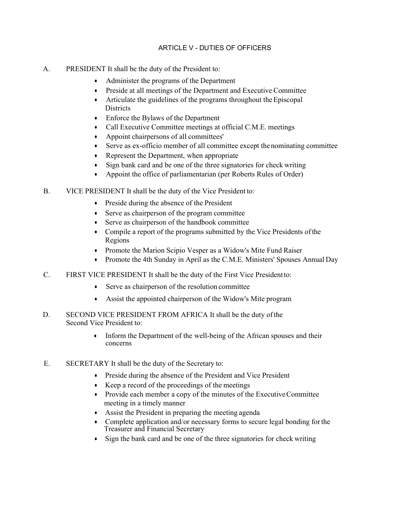## ARTICLE V - DUTIES OF OFFICERS

- A. PRESIDENT It shall be the duty of the President to:
	- Administer the programs of the Department
	- Preside at all meetings of the Department and Executive Committee
	- Articulate the guidelines of the programs throughout the Episcopal Districts
	- Enforce the Bylaws of the Department
	- Call Executive Committee meetings at official C.M.E. meetings
	- Appoint chairpersons of all committees'
	- Serve as ex-officio member of all committee except the nominating committee
	- Represent the Department, when appropriate
	- Sign bank card and be one of the three signatories for check writing
	- Appoint the office of parliamentarian (per Roberts Rules of Order)
- B. VICE PRESIDENT It shall be the duty of the Vice President to:
	- Preside during the absence of the President
	- Serve as chairperson of the program committee
	- Serve as chairperson of the handbook committee
	- Compile a report of the programs submitted by the Vice Presidents of the Regions
	- Promote the Marion Scipio Vesper as a Widow's Mite Fund Raiser
	- Promote the 4th Sunday in April as the C.M.E. Ministers' Spouses Annual Day
- C. FIRST VICE PRESIDENT It shall be the duty of the First Vice President to:
	- Serve as chairperson of the resolution committee
	- Assist the appointed chairperson of the Widow's Mite program
- D. SECOND VICE PRESIDENT FROM AFRICA It shall be the duty of the Second Vice President to:
	- Inform the Department of the well-being of the African spouses and their concerns
- E. SECRETARY It shall be the duty of the Secretary to:
	- Preside during the absence of the President and Vice President
	- Keep a record of the proceedings of the meetings
	- Provide each member a copy of the minutes of the Executive Committee meeting in a timely manner
	- Assist the President in preparing the meeting agenda
	- Complete application and/or necessary forms to secure legal bonding for the Treasurer and Financial Secretary
	- Sign the bank card and be one of the three signatories for check writing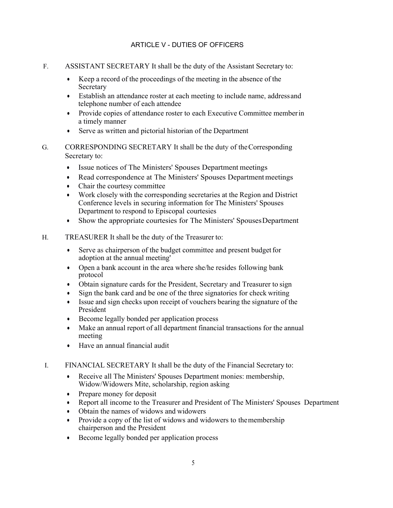## ARTICLE V - DUTIES OF OFFICERS

- F. ASSISTANT SECRETARY It shall be the duty of the Assistant Secretary to:
	- Keep a record of the proceedings of the meeting in the absence of the Secretary
	- Establish an attendance roster at each meeting to include name, address and telephone number of each attendee
	- Provide copies of attendance roster to each Executive Committee member in a timely manner
	- Serve as written and pictorial historian of the Department
- G. CORRESPONDING SECRETARY It shall be the duty of the Corresponding Secretary to:
	- Issue notices of The Ministers' Spouses Department meetings
	- Read correspondence at The Ministers' Spouses Department meetings
	- Chair the courtesy committee
	- Work closely with the corresponding secretaries at the Region and District Conference levels in securing information for The Ministers' Spouses Department to respond to Episcopal courtesies
	- Show the appropriate courtesies for The Ministers' Spouses Department
- H. TREASURER It shall be the duty of the Treasurer to:
	- Serve as chairperson of the budget committee and present budget for adoption at the annual meeting'
	- Open a bank account in the area where she/he resides following bank protocol
	- Obtain signature cards for the President, Secretary and Treasurer to sign
	- Sign the bank card and be one of the three signatories for check writing
	- Issue and sign checks upon receipt of vouchers bearing the signature of the President
	- Become legally bonded per application process
	- Make an annual report of all department financial transactions for the annual meeting
	- Have an annual financial audit
- I. FINANCIAL SECRETARY It shall be the duty of the Financial Secretary to:
	- Receive all The Ministers' Spouses Department monies: membership, Widow/Widowers Mite, scholarship, region asking
	- Prepare money for deposit
	- Report all income to the Treasurer and President of The Ministers' Spouses Department
	- Obtain the names of widows and widowers
	- Provide a copy of the list of widows and widowers to the membership chairperson and the President
	- Become legally bonded per application process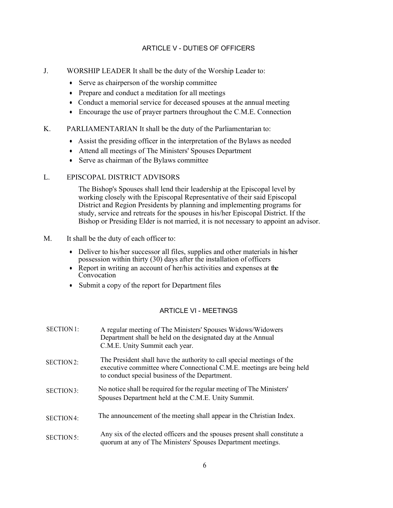## ARTICLE V - DUTIES OF OFFICERS

- J. WORSHIP LEADER It shall be the duty of the Worship Leader to:
	- Serve as chairperson of the worship committee
	- Prepare and conduct a meditation for all meetings
	- Conduct a memorial service for deceased spouses at the annual meeting
	- Encourage the use of prayer partners throughout the C.M.E. Connection
- K. PARLIAMENTARIAN It shall be the duty of the Parliamentarian to:
	- Assist the presiding officer in the interpretation of the Bylaws as needed
	- Attend all meetings of The Ministers' Spouses Department
	- Serve as chairman of the Bylaws committee

## L. EPISCOPAL DISTRICT ADVISORS

The Bishop's Spouses shall lend their leadership at the Episcopal level by working closely with the Episcopal Representative of their said Episcopal District and Region Presidents by planning and implementing programs for study, service and retreats for the spouses in his/her Episcopal District. If the Bishop or Presiding Elder is not married, it is not necessary to appoint an advisor.

- M. It shall be the duty of each officer to:
	- Deliver to his/her successor all files, supplies and other materials in his/her possession within thirty (30) days after the installation of officers
	- Report in writing an account of her/his activities and expenses at the **Convocation**
	- Submit a copy of the report for Department files

## ARTICLE VI - MEETINGS

| <b>SECTION 1:</b> | A regular meeting of The Ministers' Spouses Widows/Widowers<br>Department shall be held on the designated day at the Annual<br>C.M.E. Unity Summit each year.                                     |
|-------------------|---------------------------------------------------------------------------------------------------------------------------------------------------------------------------------------------------|
| SECTION2:         | The President shall have the authority to call special meetings of the<br>executive committee where Connectional C.M.E. meetings are being held<br>to conduct special business of the Department. |
| SECTION3:         | No notice shall be required for the regular meeting of The Ministers'<br>Spouses Department held at the C.M.E. Unity Summit.                                                                      |
| SECTION4:         | The announcement of the meeting shall appear in the Christian Index.                                                                                                                              |
| SECTION 5:        | Any six of the elected officers and the spouses present shall constitute a<br>quorum at any of The Ministers' Spouses Department meetings.                                                        |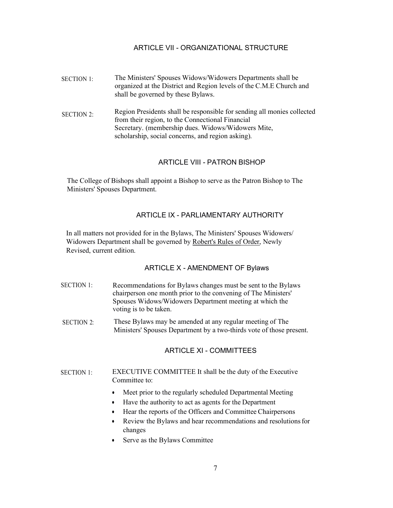## ARTICLE VII - ORGANIZATIONAL STRUCTURE

- SECTION 1: The Ministers' Spouses Widows/Widowers Departments shall be organized at the District and Region levels of the C.M.E Church and shall be governed by these Bylaws.
- SECTION 2: Region Presidents shall be responsible for sending all monies collected from their region, to the Connectional Financial Secretary. (membership dues. Widows/Widowers Mite, scholarship, social concerns, and region asking).

## ARTICLE VIII - PATRON BISHOP

The College of Bishops shall appoint a Bishop to serve as the Patron Bishop to The Ministers' Spouses Department.

## ARTICLE IX - PARLIAMENTARY AUTHORITY

In all matters not provided for in the Bylaws, The Ministers' Spouses Widowers/ Widowers Department shall be governed by Robert's Rules of Order, Newly Revised, current edition.

## ARTICLE X - AMENDMENT OF Bylaws

- SECTION 1: Recommendations for Bylaws changes must be sent to the Bylaws chairperson one month prior to the convening of The Ministers' Spouses Widows/Widowers Department meeting at which the voting is to be taken.
- SECTION 2: These Bylaws may be amended at any regular meeting of The Ministers' Spouses Department by a two-thirds vote of those present.

## ARTICLE XI - COMMITTEES

#### SECTION 1: EXECUTIVE COMMITTEE It shall be the duty of the Executive Committee to:

- Meet prior to the regularly scheduled Departmental Meeting
- Have the authority to act as agents for the Department
- Hear the reports of the Officers and Committee Chairpersons
- Review the Bylaws and hear recommendations and resolutions for changes
- Serve as the Bylaws Committee